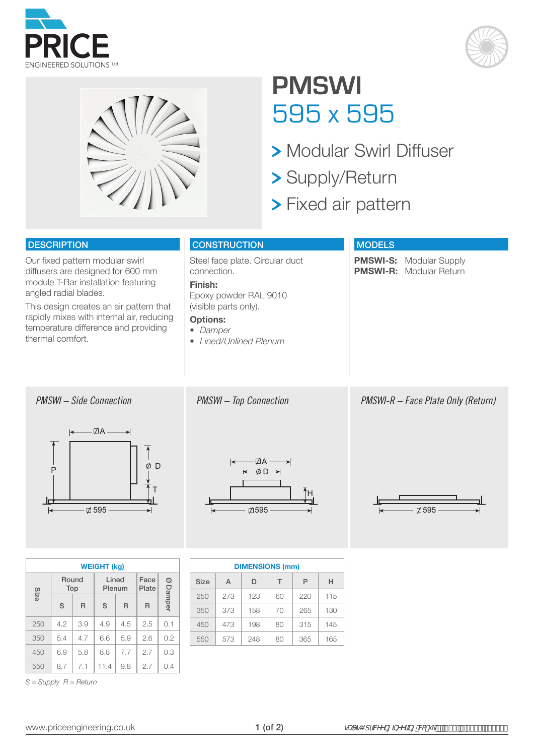





## **PMSWI** 595 x 595

- **> Modular Swirl Diffuser**
- Supply/Return
- **> Fixed air pattern**

### **DESCRIPTION**

Our fixed pattern modular swirl diffusers are designed for 600 mm module T-Bar installation featuring angled radial blades.

This design creates an air pattern that rapidly mixes with internal air, reducing temperature difference and providing thermal comfort.

### **CONSTRUCTION**

Steel face plate. Circular duct connection.

#### **Finish:**

Epoxy powder RAL 9010 (visible parts only).

#### **Options:**

*• Damper*

*• Lined/Unlined Plenum*

#### **MODELS**

**PMSWI-S:** Modular Supply **PMSWI-R:** Modular Return

*PMSWI – Side Connection PMSWI – Top Connection*



|  | <b>WEIGHT (kg)</b> |     |       |        |       |               |             |  |  |  |  |  |  |
|--|--------------------|-----|-------|--------|-------|---------------|-------------|--|--|--|--|--|--|
|  | Size               | Top | Round | Plenum | Lined | Face<br>Plate | Ø<br>Damper |  |  |  |  |  |  |
|  |                    | S   | R     | S      | R     | R             |             |  |  |  |  |  |  |
|  | 250                | 4.2 | 3.9   | 4.9    | 4.5   | 2.5           | 0.1         |  |  |  |  |  |  |
|  | 350                | 5.4 | 4.7   | 6.6    | 5.9   | 2.6           | 0.2         |  |  |  |  |  |  |
|  | 450                | 6.9 | 5.8   | 8.8    | 7.7   | 2.7           | 0.3         |  |  |  |  |  |  |
|  | 550                | 8.7 | 7.1   | 11.4   | 9.8   | 2.7           | 0.4         |  |  |  |  |  |  |

*S = Supply R = Return*

 $-\overline{A}A$ - $-\emptyset$  D  $\rightarrow$  *PMSWI-R – Face Plate Only (Return)*





|  | <b>DIMENSIONS (mm)</b> |     |     |    |     |     |  |  |  |  |  |  |
|--|------------------------|-----|-----|----|-----|-----|--|--|--|--|--|--|
|  | Size                   | A   | D   | т  | P   | н   |  |  |  |  |  |  |
|  | 250                    | 273 | 123 | 60 | 220 | 115 |  |  |  |  |  |  |
|  | 350                    | 373 | 158 | 70 | 265 | 130 |  |  |  |  |  |  |
|  | 450                    | 473 | 198 | 80 | 315 | 145 |  |  |  |  |  |  |
|  | 550                    | 573 | 248 | 80 | 365 | 165 |  |  |  |  |  |  |